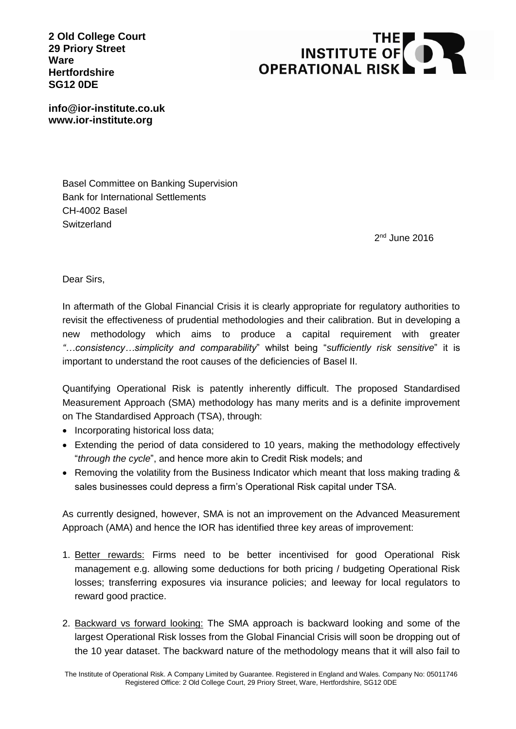**2 Old College Court 29 Priory Street Ware Hertfordshire SG12 0DE**



**info@ior-institute.co.uk www.ior-institute.org**

> Basel Committee on Banking Supervision Bank for International Settlements CH-4002 Basel **Switzerland**

> > 2<sup>nd</sup> June 2016

Dear Sirs,

In aftermath of the Global Financial Crisis it is clearly appropriate for regulatory authorities to revisit the effectiveness of prudential methodologies and their calibration. But in developing a new methodology which aims to produce a capital requirement with greater *"…consistency…simplicity and comparability*" whilst being "*sufficiently risk sensitive*" it is important to understand the root causes of the deficiencies of Basel II.

Quantifying Operational Risk is patently inherently difficult. The proposed Standardised Measurement Approach (SMA) methodology has many merits and is a definite improvement on The Standardised Approach (TSA), through:

- Incorporating historical loss data;
- Extending the period of data considered to 10 years, making the methodology effectively "*through the cycle*", and hence more akin to Credit Risk models; and
- Removing the volatility from the Business Indicator which meant that loss making trading & sales businesses could depress a firm's Operational Risk capital under TSA.

As currently designed, however, SMA is not an improvement on the Advanced Measurement Approach (AMA) and hence the IOR has identified three key areas of improvement:

- 1. Better rewards: Firms need to be better incentivised for good Operational Risk management e.g. allowing some deductions for both pricing / budgeting Operational Risk losses; transferring exposures via insurance policies; and leeway for local regulators to reward good practice.
- 2. Backward vs forward looking: The SMA approach is backward looking and some of the largest Operational Risk losses from the Global Financial Crisis will soon be dropping out of the 10 year dataset. The backward nature of the methodology means that it will also fail to

The Institute of Operational Risk. A Company Limited by Guarantee. Registered in England and Wales. Company No: 05011746 Registered Office: 2 Old College Court, 29 Priory Street, Ware, Hertfordshire, SG12 0DE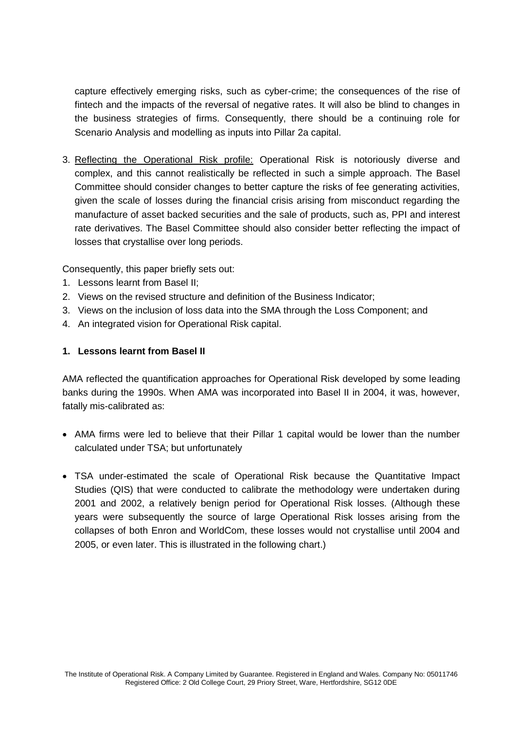capture effectively emerging risks, such as cyber-crime; the consequences of the rise of fintech and the impacts of the reversal of negative rates. It will also be blind to changes in the business strategies of firms. Consequently, there should be a continuing role for Scenario Analysis and modelling as inputs into Pillar 2a capital.

3. Reflecting the Operational Risk profile: Operational Risk is notoriously diverse and complex, and this cannot realistically be reflected in such a simple approach. The Basel Committee should consider changes to better capture the risks of fee generating activities, given the scale of losses during the financial crisis arising from misconduct regarding the manufacture of asset backed securities and the sale of products, such as, PPI and interest rate derivatives. The Basel Committee should also consider better reflecting the impact of losses that crystallise over long periods.

Consequently, this paper briefly sets out:

- 1. Lessons learnt from Basel II;
- 2. Views on the revised structure and definition of the Business Indicator;
- 3. Views on the inclusion of loss data into the SMA through the Loss Component; and
- 4. An integrated vision for Operational Risk capital.

#### **1. Lessons learnt from Basel II**

AMA reflected the quantification approaches for Operational Risk developed by some leading banks during the 1990s. When AMA was incorporated into Basel II in 2004, it was, however, fatally mis-calibrated as:

- AMA firms were led to believe that their Pillar 1 capital would be lower than the number calculated under TSA; but unfortunately
- TSA under-estimated the scale of Operational Risk because the Quantitative Impact Studies (QIS) that were conducted to calibrate the methodology were undertaken during 2001 and 2002, a relatively benign period for Operational Risk losses. (Although these years were subsequently the source of large Operational Risk losses arising from the collapses of both Enron and WorldCom, these losses would not crystallise until 2004 and 2005, or even later. This is illustrated in the following chart.)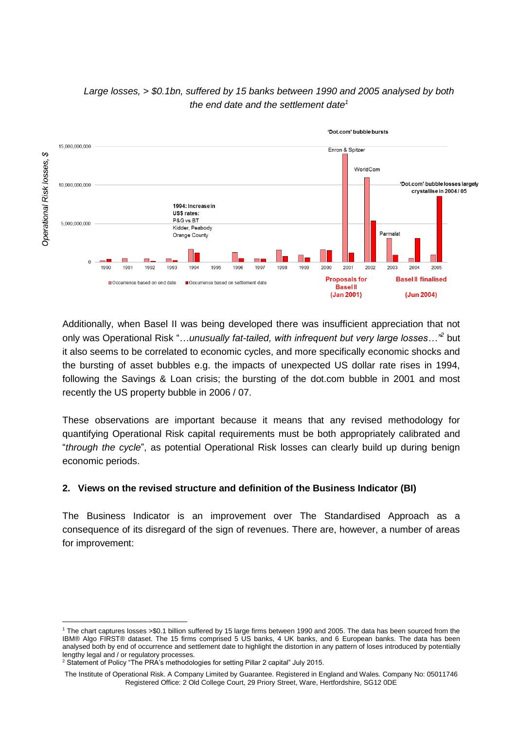

# *Large losses, > \$0.1bn, suffered by 15 banks between 1990 and 2005 analysed by both the end date and the settlement date<sup>1</sup>*

Additionally, when Basel II was being developed there was insufficient appreciation that not only was Operational Risk "…*unusually fat-tailed, with infrequent but very large losses…"<sup>2</sup>* but it also seems to be correlated to economic cycles, and more specifically economic shocks and the bursting of asset bubbles e.g. the impacts of unexpected US dollar rate rises in 1994, following the Savings & Loan crisis; the bursting of the dot.com bubble in 2001 and most recently the US property bubble in 2006 / 07.

These observations are important because it means that any revised methodology for quantifying Operational Risk capital requirements must be both appropriately calibrated and "*through the cycle*", as potential Operational Risk losses can clearly build up during benign economic periods.

# **2. Views on the revised structure and definition of the Business Indicator (BI)**

The Business Indicator is an improvement over The Standardised Approach as a consequence of its disregard of the sign of revenues. There are, however, a number of areas for improvement:

-

<sup>1</sup> The chart captures losses >\$0.1 billion suffered by 15 large firms between 1990 and 2005. The data has been sourced from the IBM® Algo FIRST® dataset. The 15 firms comprised 5 US banks, 4 UK banks, and 6 European banks. The data has been analysed both by end of occurrence and settlement date to highlight the distortion in any pattern of loses introduced by potentially lengthy legal and / or regulatory processes.

<sup>&</sup>lt;sup>2</sup> Statement of Policy "The PRA's methodologies for setting Pillar 2 capital" July 2015.

The Institute of Operational Risk. A Company Limited by Guarantee. Registered in England and Wales. Company No: 05011746 Registered Office: 2 Old College Court, 29 Priory Street, Ware, Hertfordshire, SG12 0DE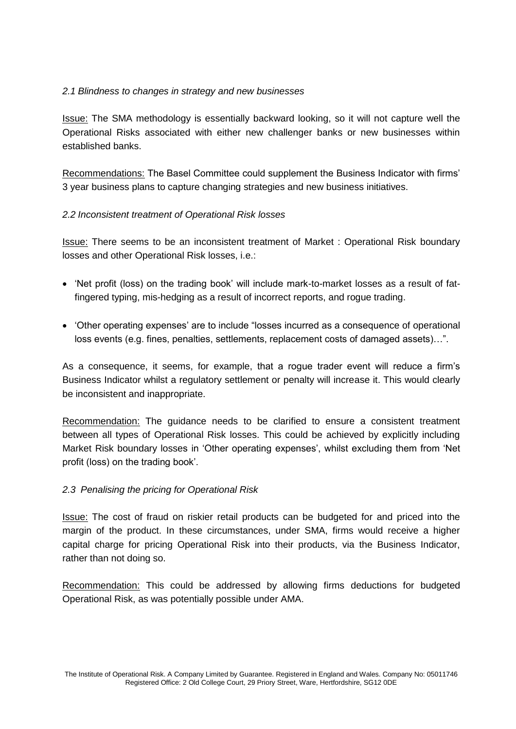## *2.1 Blindness to changes in strategy and new businesses*

Issue: The SMA methodology is essentially backward looking, so it will not capture well the Operational Risks associated with either new challenger banks or new businesses within established banks.

Recommendations: The Basel Committee could supplement the Business Indicator with firms' 3 year business plans to capture changing strategies and new business initiatives.

## *2.2 Inconsistent treatment of Operational Risk losses*

Issue: There seems to be an inconsistent treatment of Market : Operational Risk boundary losses and other Operational Risk losses, i.e.:

- 'Net profit (loss) on the trading book' will include mark-to-market losses as a result of fatfingered typing, mis-hedging as a result of incorrect reports, and rogue trading.
- 'Other operating expenses' are to include "losses incurred as a consequence of operational loss events (e.g. fines, penalties, settlements, replacement costs of damaged assets)…".

As a consequence, it seems, for example, that a rogue trader event will reduce a firm's Business Indicator whilst a regulatory settlement or penalty will increase it. This would clearly be inconsistent and inappropriate.

Recommendation: The guidance needs to be clarified to ensure a consistent treatment between all types of Operational Risk losses. This could be achieved by explicitly including Market Risk boundary losses in 'Other operating expenses', whilst excluding them from 'Net profit (loss) on the trading book'.

#### *2.3 Penalising the pricing for Operational Risk*

Issue: The cost of fraud on riskier retail products can be budgeted for and priced into the margin of the product. In these circumstances, under SMA, firms would receive a higher capital charge for pricing Operational Risk into their products, via the Business Indicator, rather than not doing so.

Recommendation: This could be addressed by allowing firms deductions for budgeted Operational Risk, as was potentially possible under AMA.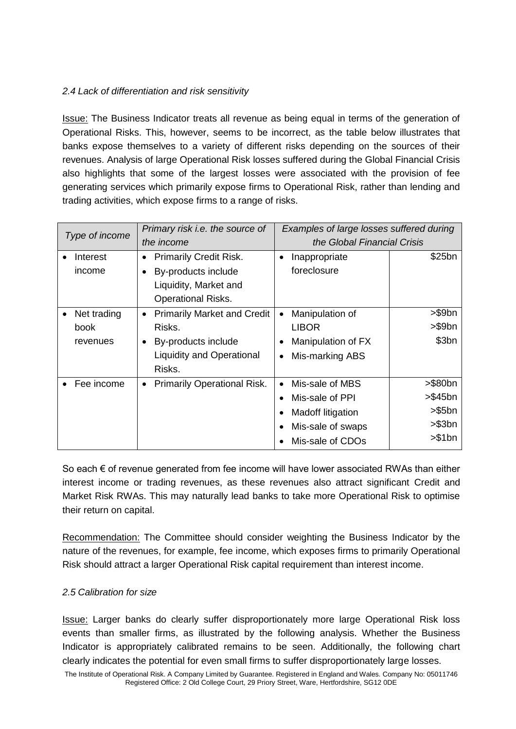# *2.4 Lack of differentiation and risk sensitivity*

Issue: The Business Indicator treats all revenue as being equal in terms of the generation of Operational Risks. This, however, seems to be incorrect, as the table below illustrates that banks expose themselves to a variety of different risks depending on the sources of their revenues. Analysis of large Operational Risk losses suffered during the Global Financial Crisis also highlights that some of the largest losses were associated with the provision of fee generating services which primarily expose firms to Operational Risk, rather than lending and trading activities, which expose firms to a range of risks.

| Type of income |                                 | Primary risk i.e. the source of<br>the income                                                                                  | Examples of large losses suffered during<br>the Global Financial Crisis                                                                              |                                                   |
|----------------|---------------------------------|--------------------------------------------------------------------------------------------------------------------------------|------------------------------------------------------------------------------------------------------------------------------------------------------|---------------------------------------------------|
|                | Interest<br>income              | <b>Primarily Credit Risk.</b><br>By-products include<br>Liquidity, Market and<br><b>Operational Risks.</b>                     | Inappropriate<br>$\bullet$<br>foreclosure                                                                                                            | \$25bn                                            |
| $\bullet$      | Net trading<br>book<br>revenues | <b>Primarily Market and Credit</b><br>$\bullet$<br>Risks.<br>By-products include<br><b>Liquidity and Operational</b><br>Risks. | Manipulation of<br>$\bullet$<br><b>LIBOR</b><br>Manipulation of FX<br>$\bullet$<br>Mis-marking ABS<br>٠                                              | >\$9bn<br>>\$9bn<br>\$3bn                         |
|                | Fee income                      | <b>Primarily Operational Risk.</b><br>٠                                                                                        | Mis-sale of MBS<br>$\bullet$<br>Mis-sale of PPI<br>$\bullet$<br>Madoff litigation<br>$\bullet$<br>Mis-sale of swaps<br>$\bullet$<br>Mis-sale of CDOs | >\$80bn<br>>\$45bn<br>> \$5bn<br>>\$3bn<br>>\$1bn |

So each € of revenue generated from fee income will have lower associated RWAs than either interest income or trading revenues, as these revenues also attract significant Credit and Market Risk RWAs. This may naturally lead banks to take more Operational Risk to optimise their return on capital.

Recommendation: The Committee should consider weighting the Business Indicator by the nature of the revenues, for example, fee income, which exposes firms to primarily Operational Risk should attract a larger Operational Risk capital requirement than interest income.

#### *2.5 Calibration for size*

Issue: Larger banks do clearly suffer disproportionately more large Operational Risk loss events than smaller firms, as illustrated by the following analysis. Whether the Business Indicator is appropriately calibrated remains to be seen. Additionally, the following chart clearly indicates the potential for even small firms to suffer disproportionately large losses.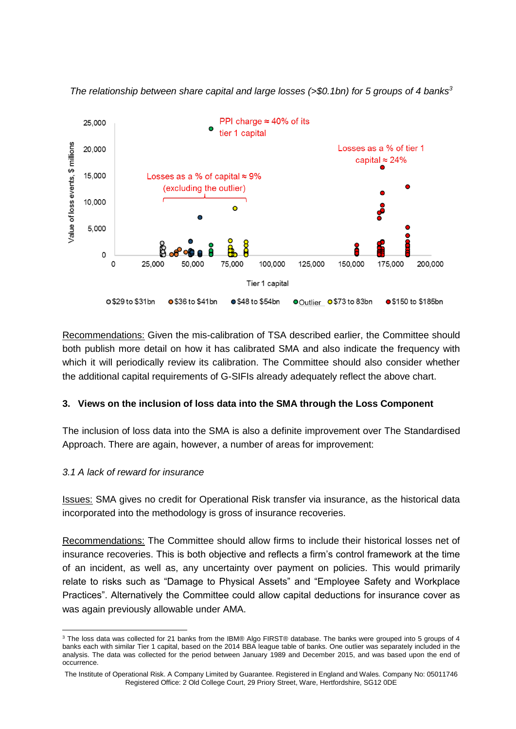

*The relationship between share capital and large losses (>\$0.1bn) for 5 groups of 4 banks<sup>3</sup>*

Recommendations: Given the mis-calibration of TSA described earlier, the Committee should both publish more detail on how it has calibrated SMA and also indicate the frequency with which it will periodically review its calibration. The Committee should also consider whether the additional capital requirements of G-SIFIs already adequately reflect the above chart.

#### **3. Views on the inclusion of loss data into the SMA through the Loss Component**

The inclusion of loss data into the SMA is also a definite improvement over The Standardised Approach. There are again, however, a number of areas for improvement:

#### *3.1 A lack of reward for insurance*

Issues: SMA gives no credit for Operational Risk transfer via insurance, as the historical data incorporated into the methodology is gross of insurance recoveries.

Recommendations: The Committee should allow firms to include their historical losses net of insurance recoveries. This is both objective and reflects a firm's control framework at the time of an incident, as well as, any uncertainty over payment on policies. This would primarily relate to risks such as "Damage to Physical Assets" and "Employee Safety and Workplace Practices". Alternatively the Committee could allow capital deductions for insurance cover as was again previously allowable under AMA.

<sup>1</sup> <sup>3</sup> The loss data was collected for 21 banks from the IBM® Algo FIRST® database. The banks were grouped into 5 groups of 4 banks each with similar Tier 1 capital, based on the 2014 BBA league table of banks. One outlier was separately included in the analysis. The data was collected for the period between January 1989 and December 2015, and was based upon the end of occurrence.

The Institute of Operational Risk. A Company Limited by Guarantee. Registered in England and Wales. Company No: 05011746 Registered Office: 2 Old College Court, 29 Priory Street, Ware, Hertfordshire, SG12 0DE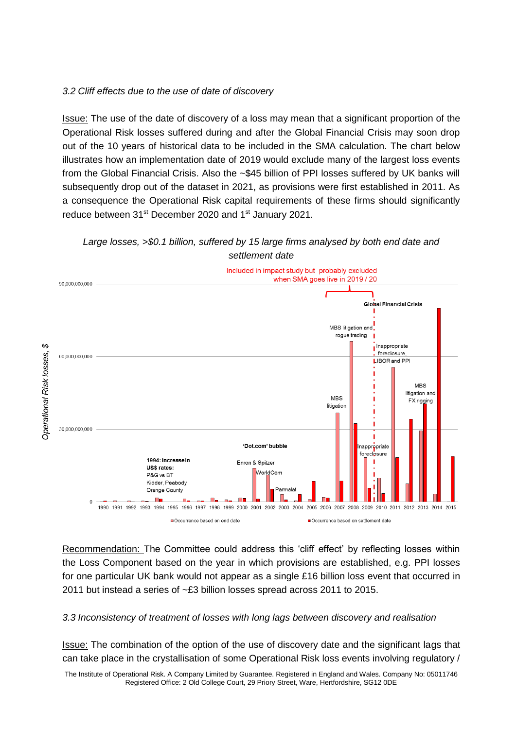#### *3.2 Cliff effects due to the use of date of discovery*

Issue: The use of the date of discovery of a loss may mean that a significant proportion of the Operational Risk losses suffered during and after the Global Financial Crisis may soon drop out of the 10 years of historical data to be included in the SMA calculation. The chart below illustrates how an implementation date of 2019 would exclude many of the largest loss events from the Global Financial Crisis. Also the ~\$45 billion of PPI losses suffered by UK banks will subsequently drop out of the dataset in 2021, as provisions were first established in 2011. As a consequence the Operational Risk capital requirements of these firms should significantly reduce between 31<sup>st</sup> December 2020 and 1<sup>st</sup> January 2021.





Recommendation: The Committee could address this 'cliff effect' by reflecting losses within the Loss Component based on the year in which provisions are established, e.g. PPI losses for one particular UK bank would not appear as a single £16 billion loss event that occurred in 2011 but instead a series of ~£3 billion losses spread across 2011 to 2015.

*3.3 Inconsistency of treatment of losses with long lags between discovery and realisation*

Issue: The combination of the option of the use of discovery date and the significant lags that can take place in the crystallisation of some Operational Risk loss events involving regulatory /

The Institute of Operational Risk. A Company Limited by Guarantee. Registered in England and Wales. Company No: 05011746 Registered Office: 2 Old College Court, 29 Priory Street, Ware, Hertfordshire, SG12 0DE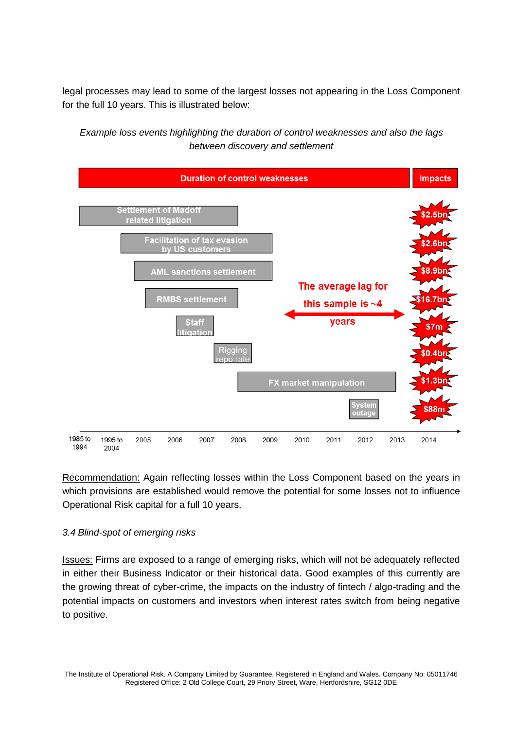legal processes may lead to some of the largest losses not appearing in the Loss Component for the full 10 years. This is illustrated below:

*Example loss events highlighting the duration of control weaknesses and also the lags between discovery and settlement*



Recommendation: Again reflecting losses within the Loss Component based on the years in which provisions are established would remove the potential for some losses not to influence Operational Risk capital for a full 10 years.

#### *3.4 Blind-spot of emerging risks*

Issues: Firms are exposed to a range of emerging risks, which will not be adequately reflected in either their Business Indicator or their historical data. Good examples of this currently are the growing threat of cyber-crime, the impacts on the industry of fintech / algo-trading and the potential impacts on customers and investors when interest rates switch from being negative to positive.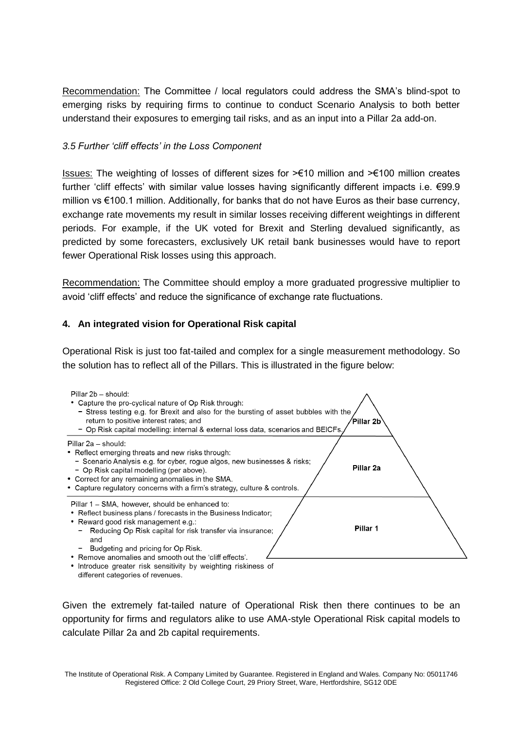Recommendation: The Committee / local regulators could address the SMA's blind-spot to emerging risks by requiring firms to continue to conduct Scenario Analysis to both better understand their exposures to emerging tail risks, and as an input into a Pillar 2a add-on.

#### *3.5 Further 'cliff effects' in the Loss Component*

Issues: The weighting of losses of different sizes for >€10 million and >€100 million creates further 'cliff effects' with similar value losses having significantly different impacts i.e. €99.9 million vs €100.1 million. Additionally, for banks that do not have Euros as their base currency, exchange rate movements my result in similar losses receiving different weightings in different periods. For example, if the UK voted for Brexit and Sterling devalued significantly, as predicted by some forecasters, exclusively UK retail bank businesses would have to report fewer Operational Risk losses using this approach.

Recommendation: The Committee should employ a more graduated progressive multiplier to avoid 'cliff effects' and reduce the significance of exchange rate fluctuations.

## **4. An integrated vision for Operational Risk capital**

Operational Risk is just too fat-tailed and complex for a single measurement methodology. So the solution has to reflect all of the Pillars. This is illustrated in the figure below:



Given the extremely fat-tailed nature of Operational Risk then there continues to be an opportunity for firms and regulators alike to use AMA-style Operational Risk capital models to calculate Pillar 2a and 2b capital requirements.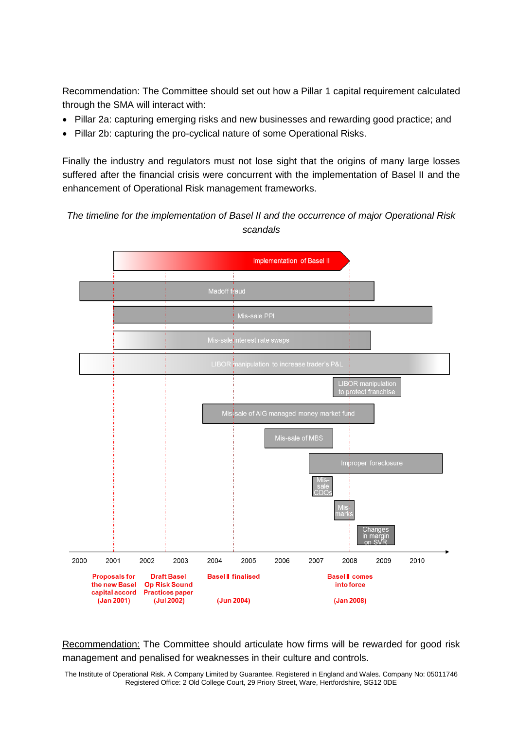Recommendation: The Committee should set out how a Pillar 1 capital requirement calculated through the SMA will interact with:

- Pillar 2a: capturing emerging risks and new businesses and rewarding good practice; and
- Pillar 2b: capturing the pro-cyclical nature of some Operational Risks.

Finally the industry and regulators must not lose sight that the origins of many large losses suffered after the financial crisis were concurrent with the implementation of Basel II and the enhancement of Operational Risk management frameworks.

*The timeline for the implementation of Basel II and the occurrence of major Operational Risk scandals* 



Recommendation: The Committee should articulate how firms will be rewarded for good risk management and penalised for weaknesses in their culture and controls.

The Institute of Operational Risk. A Company Limited by Guarantee. Registered in England and Wales. Company No: 05011746 Registered Office: 2 Old College Court, 29 Priory Street, Ware, Hertfordshire, SG12 0DE